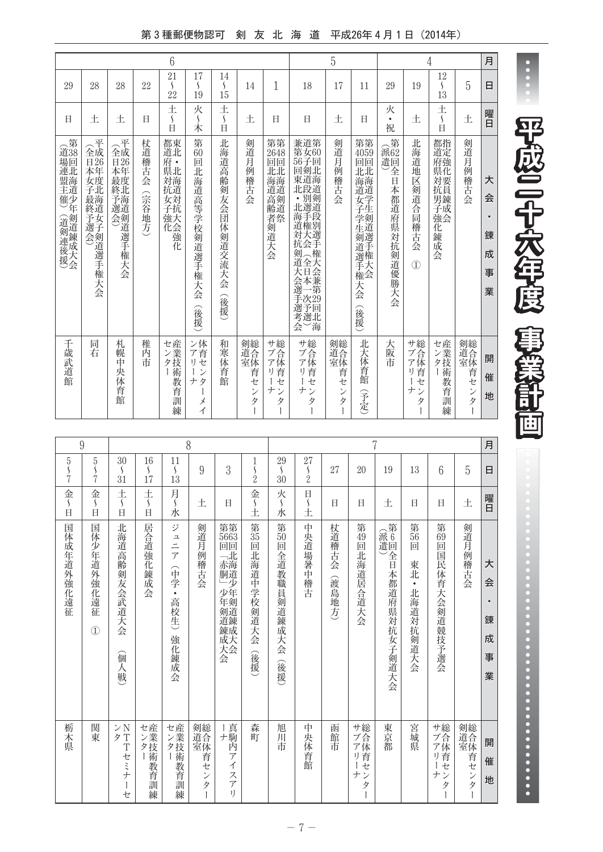## 第3種郵便物認可 剣 友 北 海 道 平成26年4月1日 (2014年)

|                                                       |                                                            |                                            |                 | 6                                                                  |                                                 |                                            |                                           |                                                   |                                                                                            | 5                                                     |                                                           |                                    |                                          | 4                                                 |                                                        | 月                                       |
|-------------------------------------------------------|------------------------------------------------------------|--------------------------------------------|-----------------|--------------------------------------------------------------------|-------------------------------------------------|--------------------------------------------|-------------------------------------------|---------------------------------------------------|--------------------------------------------------------------------------------------------|-------------------------------------------------------|-----------------------------------------------------------|------------------------------------|------------------------------------------|---------------------------------------------------|--------------------------------------------------------|-----------------------------------------|
| 29                                                    | 28                                                         | 28                                         | 22              | 21<br>$\mathcal{L}_{\mathcal{L}}$<br>22                            | 17<br>$\mathcal{L}_{\mathcal{L}}$<br>19         | 14<br>$\mathcal{S}_{\mathcal{S}}$<br>15    | 14                                        | 1                                                 | 18                                                                                         | 17                                                    | 11                                                        | 29                                 | 19                                       | 12<br>$\mathcal{S}_{\mathcal{S}}$<br>13           | 5                                                      | 日                                       |
| Ħ                                                     | 土                                                          | 土                                          | H               | 土<br>$\mathcal{S}_{\mathcal{S}}$<br>E                              | 火<br>$\mathcal{S}_{\mathcal{S}}$<br>木           | 土<br>$\mathcal{S}_{\mathcal{S}}$<br>$\Box$ | 土                                         | Ħ                                                 | 日                                                                                          | 十.                                                    | H                                                         | 火<br>$\bullet$<br>祝                | 土                                        | 土<br>$\mathcal{S}_{\mathcal{S}}$<br>E             | 土                                                      | 曜日                                      |
| 第<br>道38<br>場回<br>連北<br>一盟海<br>主道<br>催少<br>!) (道剣連後援) | 全<br>全成<br>E26<br>本年<br>女度<br>子北<br>•最終予選会)<br>海道女子剣道選手権大会 | 平<br>全成<br>E126<br>本最終予選会)<br>年度北海道剣道選手権大会 | 杖道稽古会<br>(宗谷地方) | 都東<br>府<br>$\bullet$<br><b>県対海道</b><br>元<br>女対<br>子抗<br>強天<br>化会強化 | 第<br>60<br>回北海道高等学校剣道選手権大<br>会<br>(後援)          | 北海道高齢剣友会団体剣道交流大会<br>(後援)                   | 剣道月例<br>稽古会                               | 第第<br>2648<br>回回<br>亚亚<br>海海道<br>高齢者剣道大会          | 兼道第<br>第女60<br>56子回<br>5回東北·<br>東道段別<br>北選道<br>:海道対抗剣道大会選手手権大会(全日本一次)<br>·選考選)<br>考選)<br>会 | 剣道月例稽古会                                               | 第第<br>4059<br>回回<br>亚亚<br>海道女子学生剣道選手権大会<br>大<br>会<br>(後援) | 第<br>派62<br>遣回<br>.全日本都道府県対抗剣道優勝大会 | 北海道地区剣道合同稽古会<br>$\overline{1}$           | 都指<br>道定<br>府強<br><b>県対抗</b><br>男錬成<br>強会<br>化錬成会 | 剣道月例稽古会                                                | 大<br>会<br>$\bullet$<br>錬<br>成<br>事<br>業 |
| 千歳武道館                                                 | 同<br>着                                                     | 札<br>幌<br>中<br>央体<br>--育館                  | 稚<br>内<br>市     | センター<br>産業技術教育訓練                                                   | ン体<br>ア育<br>リセ<br>$\mathcal{V}$<br>ナタ<br>メ<br>イ | 和寒体育館                                      | 剣総<br>道合体<br>首<br>セ<br>$\mathcal{V}$<br>タ | サブ合体<br>育<br>IJ.<br>セ<br>ナ<br>$\overline{v}$<br>タ | サガ合体<br>首<br>IJ<br>セ<br>ナ<br>$\mathcal{V}$<br>タ                                            | 剣総<br>道<br>室<br>室<br><br>育<br>セ<br>$\mathcal{V}$<br>タ | 北大体育館<br>予定                                               | 大阪市                                | サ総<br>ブ合<br>ア体<br>育<br>ı)<br>セ<br>ナ<br>タ | セ産業技<br>術<br>教<br>育<br>訓<br>練                     | 剣総<br>道<br>室<br>室<br>室<br>育<br>セ<br>$\mathcal{V}$<br>タ | 開<br>催<br>地                             |

| 9                                               |                                                    |                                                    |                                         |                                | 8                                       |                                                                |                                                    |                                         |                                           |                 |                          | 7                   |                                              |                                                 |                           | 月                                       |
|-------------------------------------------------|----------------------------------------------------|----------------------------------------------------|-----------------------------------------|--------------------------------|-----------------------------------------|----------------------------------------------------------------|----------------------------------------------------|-----------------------------------------|-------------------------------------------|-----------------|--------------------------|---------------------|----------------------------------------------|-------------------------------------------------|---------------------------|-----------------------------------------|
| $5\,$<br>$\mathsf{\varsigma}$<br>$\overline{7}$ | 5<br>$\mathcal{L}_{\mathcal{L}}$<br>$\overline{7}$ | 30<br>$\mathcal{L}_{\mathcal{L}}$<br>31            | 16<br>$\mathcal{L}_{\mathcal{L}}$<br>17 | 11<br>$\left\{ \right.$<br>13  | 9                                       | 3                                                              | 1<br>$\mathcal{S}_{\mathcal{S}}$<br>$\overline{2}$ | 29<br>$\mathcal{L}_{\mathcal{L}}$<br>30 | 27<br>$\frac{5}{2}$                       | 27              | 20                       | 19                  | 13                                           | 6                                               | $\overline{5}$            | 日                                       |
| 金<br>S<br>É                                     | 金<br>$\left\{ \right.$<br>$\overline{a}$           | 土<br>$\mathcal{S}_{\mathcal{S}}$<br>Ė              | 土<br>$\mathcal{S}_{\mathcal{S}}$<br>Ė   | 月〜<br>永                        | 土                                       | Ħ                                                              | 金<br>$\mathcal{S}_{\mathcal{S}}$<br>Í              | 火<br>「〜水                                | $\Box$<br>$\boldsymbol{\mathsf{s}}$<br>Í. | Ħ               | Ħ                        | 土                   | E                                            | 日                                               | 土                         | 曜日                                      |
| 国体成年道外強化遠征                                      | 国<br>体少<br>年道外強化遠征<br>$^{\circledR}$               | 北<br>海道高齡剣友会武道大会<br>偭<br>一人戦                       | 居合道強化錬成会                                | ジ<br>・ユニア<br>(中学・高校生)<br>強化錬成会 | 剣道月例稽古会                                 | 第第<br>5663<br>回回<br>.「赤胴」少年剣道錬成大会.北海道少年剣道錬成大会                  | 第<br>35<br>回<br>北海道中学校剣道大会<br>(後援)                 | 第50<br>回全道教職員剣道錬成大会<br>(後援)             | 中央道場暑中稽古                                  | 杖道稽古会<br>(渡島地方) | 第<br>49<br>回<br>北海道居合道大会 | (派遣) 在本都道府県対抗女子剣道大会 | 第<br>56<br>回<br>東北<br>$\bullet$<br>北海道対抗剣道大会 | 第3回国民体育大会剣道競技予選会                                | 剣道月例稽古会                   | 大<br>会<br>$\bullet$<br>錬<br>成<br>事<br>業 |
| 栃木県                                             | 関東                                                 | $\mathcal{V} \, \mathrm{N}$<br>夕T<br>T<br>セミナ<br>セ | センター<br>産業技術教育訓練                        | センター<br>産業技術教育訓練               | 剣道全体育,<br>ゼ<br>$\overline{ }$<br>タ<br>Ť | Ⅰ真駒内ア<br>$\overline{\mathcal{A}}$<br>ス<br>$\overline{f}$<br>I) | 森町                                                 | 旭川市                                     | 中央体育館                                     | 函館市             | サブアリー<br>ナン<br>タ         | 東京都                 | 宮城県                                          | サブアリ<br>ゼ<br>ナ<br>$\overline{\phantom{a}}$<br>タ | 剣道室<br>$\mathcal{V}$<br>タ | 開<br>催<br>地                             |

**平成二十六年度 事業計画** 

....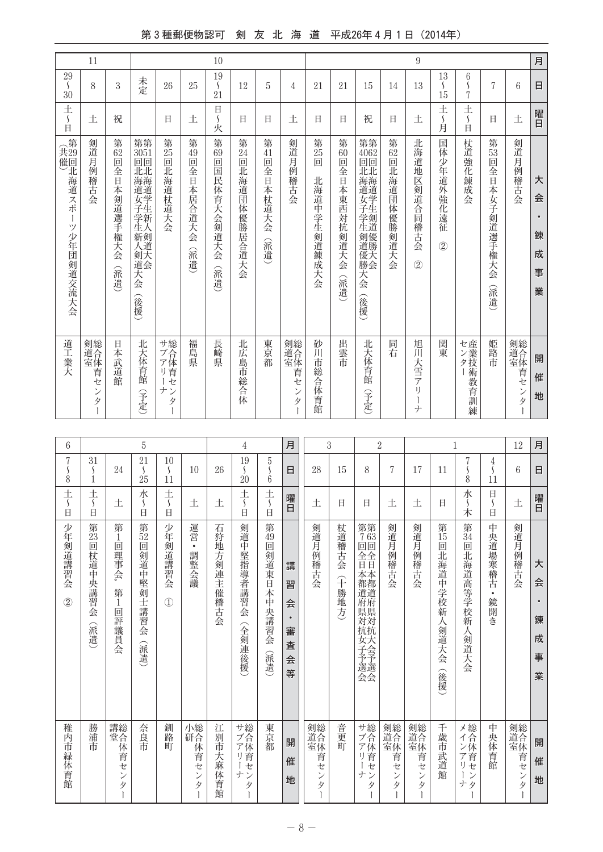## 第3種郵便物認可 剣 友 北 海 道 平成26年4月1日 (2014年)

|                                                          | 11                                              |                                                 |                                                                                                          |                                             |                                      | 10                                                                               |                                       |                                       |                                                 |                              |                                     |                                                         |                 | $\boldsymbol{9}$                                          |                                              |                                                |                                        |                                         | 月                          |
|----------------------------------------------------------|-------------------------------------------------|-------------------------------------------------|----------------------------------------------------------------------------------------------------------|---------------------------------------------|--------------------------------------|----------------------------------------------------------------------------------|---------------------------------------|---------------------------------------|-------------------------------------------------|------------------------------|-------------------------------------|---------------------------------------------------------|-----------------|-----------------------------------------------------------|----------------------------------------------|------------------------------------------------|----------------------------------------|-----------------------------------------|----------------------------|
| $\,29$<br>$\mathcal{S}_{\mathcal{S}}$<br>$\overline{30}$ | 8                                               | 3                                               | 未定                                                                                                       | 26                                          | 25                                   | 19<br>$\mathcal{S}_{\mathcal{S}}$<br>21                                          | 12                                    | 5                                     | $\overline{4}$                                  | 21                           | 21                                  | 15                                                      | 14              | 13                                                        | 13<br>$\frac{5}{15}$                         | 6<br>$\mathcal{S}_{\mathcal{S}}$<br>$\sqrt{ }$ | 7                                      | 6                                       | $\Box$                     |
| 土<br>$\mathcal{S}_{\mathcal{S}}$<br>É                    | 土                                               | 祝                                               |                                                                                                          | 日                                           | 土                                    | 日<br>$\mathcal{S}_{\mathcal{S}}$<br>火                                            | Ħ                                     | 日                                     | 土                                               | 日                            | 日                                   | 祝                                                       | 日               | 土                                                         | 土<br>$\mathcal{S}_{\mathcal{S}}$<br>甪        | $\pm$<br>$\mathcal{S}_{\mathcal{S}}$<br>Ė      | Ħ                                      | 土                                       | 曜日                         |
| 第<br>共催)<br>29回北海道スポ<br>Ť<br>ツ少年団剣道交流大会                  | 剣道月例<br>稽古<br>승                                 | 第62回<br>全日本剣道選手権大会<br>(派遣)                      | 第第<br>$\frac{3051}{101}$<br>北北<br><b>花海道学生新人在海道学生新人</b><br>·生新人<br>新人<br>2<br>剣天<br>道会<br>天<br>슺<br>(後援) | 第25回<br>北海道杖道大会                             | 第<br>49<br>靣<br>全<br>日本居合道大会<br>(派遣) | 第<br>$\begin{matrix} 69 \\[-4pt] \hline 9 \end{matrix}$<br>国民体育大会剣道大<br>슺<br>(派遣 | 第24回<br>北海道団体優勝居合道大会                  | 第41回<br>全日本杖道大会<br>(派遣)               | 剣道月例稽古会                                         | 第<br>25<br>Õ<br>北海道中学生剣道錬成大会 | 第<br>60<br>画<br>全日本東西対抗剣道大会<br>(派遣) | 第40回北海道女子学生剣道優勝;第62回北海道学生剣道優勝大会<br>天会<br>(後援)           | 第6回北海道団体優勝剣道大会  | 北海道地区剣道合同稽古会<br>$\circled{2}$                             | 国体少年道外強化遠<br>征<br>$\circled{2}$              | 杖道強<br>二化錬成<br>会                               | 第53回<br>全日本女子剣道選手権大会<br>(派遣)           | 剣道月例稽古会                                 | 大<br>会<br>錬<br>成<br>事<br>業 |
| 道工業大                                                     | 剣道合体<br>首<br>セ<br>ン<br>タ<br>$\mathbf{I}$        | 日本武道館                                           | 北大体育館<br>宇定                                                                                              | サ総<br>/ブ合<br>ア体<br>リ育<br>一七<br>ナン<br>タ<br>Ť | 福島県                                  | 長崎県                                                                              | 北広島市総合体                               | 東京都                                   | 剣総<br>道合体<br>育<br>ゼ<br>$\ddot{}$<br>.<br>I<br>ľ | 砂<br>ĬЦ<br>市総合体育館            | 出雲市                                 | 北大体育館<br>(予定)                                           | 同<br>若          | 旭川大雪ア<br>í)<br>$\begin{array}{c} \hline \end{array}$<br>ナ | 関<br>菄                                       | センター<br>産業技術教士<br>育訓<br>練                      | 姫路市                                    | 剣総<br>道合体<br>- 育セ<br>ンタ<br>$\mathbf{I}$ | 開<br>催<br>地                |
|                                                          |                                                 |                                                 |                                                                                                          |                                             |                                      |                                                                                  |                                       |                                       |                                                 |                              |                                     |                                                         |                 |                                                           |                                              |                                                |                                        |                                         |                            |
| 6<br>$\overline{7}$                                      | 31                                              |                                                 | 5<br>21                                                                                                  | 10                                          |                                      |                                                                                  | $\overline{4}$<br>19                  | $\bf 5$                               | 月                                               | $\,3$                        |                                     | $\overline{2}$                                          |                 |                                                           |                                              | $\mathbf{1}$<br>7                              |                                        | $12\,$                                  | 月                          |
| $\mathcal{S}_{\mathcal{S}}$<br>$\dot{8}$                 | S<br>$\mathbf{1}$                               | 24                                              | $\mathcal{S}_{\mathcal{S}}$<br>25                                                                        | $\sqrt{2}$<br>11                            | 10                                   | 26                                                                               | $\mathcal{S}_{\mathcal{S}}$<br>20     | $\ddot{6}$                            | 日                                               | 28                           | 15                                  | 8                                                       | 7               | 17                                                        | 11                                           | $\mathcal{S}_{\mathcal{S}}$<br>8               | 4<br>$\mathcal{S}_{\mathcal{S}}$<br>11 | $6\phantom{1}6$                         | 日                          |
| 土<br>$\mathcal{S}_{\mathcal{S}}$<br>É                    | 土<br>$\mathcal{S}_{\mathcal{S}}$<br>$\boxminus$ | 土                                               | 水<br>$\mathcal{S}_{\mathcal{S}}$<br>日                                                                    | $\pm$<br>$\mathcal{S}_{\mathcal{S}}$<br>Ė   | 土                                    | 土                                                                                | 土<br>$\mathcal{S}_{\mathcal{S}}$<br>日 | 土<br>$\mathcal{S}_{\mathcal{S}}$<br>Ė | 曜日                                              | 土                            | 日                                   | 日                                                       | 土               | 土                                                         | Ħ                                            | 水<br>$\mathcal{S}_{\mathcal{S}}$<br>木          | 日<br>$\mathcal{S}_{\mathcal{S}}$<br>日  | 土                                       | 曜日                         |
| 少年剣道講                                                    |                                                 | <b>第1</b>                                       |                                                                                                          |                                             |                                      |                                                                                  |                                       |                                       |                                                 |                              |                                     |                                                         |                 |                                                           |                                              |                                                |                                        |                                         |                            |
| 習<br>승<br>$\circled{2}$                                  | 第23回杖道<br>中央講習会<br>(派遣)                         | 回<br>一理事<br>会<br>第<br>$\mathbf{1}$<br>回<br>評議員会 | 第52回<br>[剣道]<br>中堅剣士講習会<br>(派遣)                                                                          | 少年剣道講<br>習会<br>$\circled{1}$                | 運営<br>$\bullet$<br>調<br>整<br>会議      | 石狩地<br>方剣<br>連主催稽古会                                                              | 剣道中堅指<br>導者講習会<br>(全剣連後援)             | 第49回<br>[剣道]<br>東日本中央講習会<br>(派遣)      | 講<br>習<br>会<br>$\bullet$<br>審<br>査<br>会<br>等    | 剣道月<br>例<br>稽<br>古会          | 杖道稽古会<br>(十勝地方)                     | 第第<br>763<br>回回<br>全全<br>日日<br>本都道府県対抗女子予選会本都道府県対抗大会予選会 | 剣道月例<br>稽<br>古会 | 剣道月例<br>稽<br>古会                                           | 第<br>15<br>回<br>北<br>海<br>道中学校新人剣道大会<br>(後援) | 第34<br>靣<br>北<br>海<br>道高等学校新人剣道大会              | 中<br>央道場寒<br>稽古<br>$\bullet$<br>鏡開き    | 剣道月例<br>稽<br>古会                         | 大<br>会<br>錬<br>成<br>事<br>業 |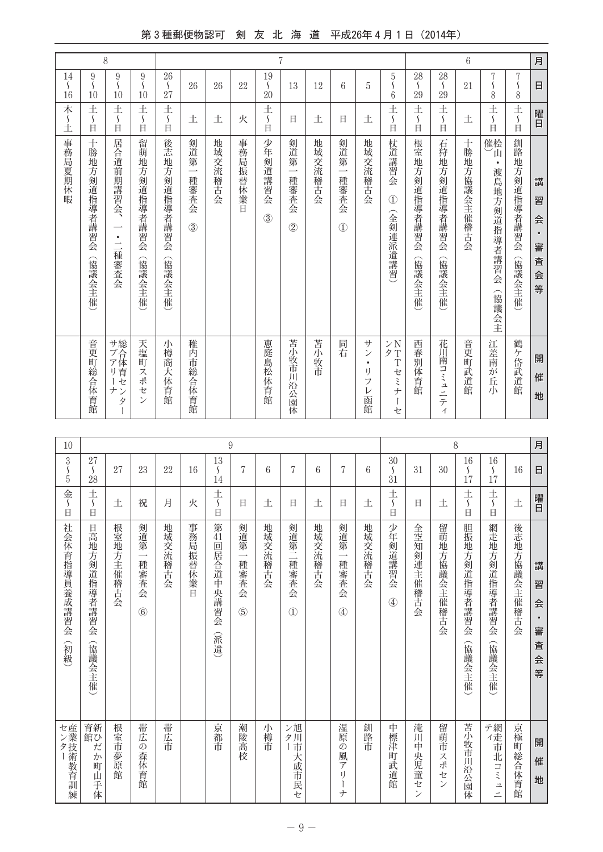## 第3種郵便物認可 剣 友 北 海 道 平成26年4月1日 (2014年)

| 月<br>$\overline{7}$<br>$\mathcal{S}_{\mathcal{S}}$<br>日<br>8<br>$\pm$<br>曜日<br>$\frac{1}{\beta}$<br>釧路地方剣道指導者講習会<br>講<br>習<br>슾<br>$\bullet$<br>審 | 8<br>土<br>$\mathcal{S}_{\mathcal{S}}$<br>Ħ<br>催桧<br>ïД<br>$\bullet$ | 6<br>21<br>土<br>十勝地<br> 方協議<br>会主催稽古会 | 28<br>$\mathcal{L}_{\mathcal{L}}$<br>29<br>土<br>$\mathcal{S}_{\mathcal{S}}$<br>Ė<br>石狩地<br>方剣道指導者講習会 | 28<br>$\mathcal{S}_{\mathcal{S}}$<br>29<br>土<br>S<br>$\Box$<br>根室地方剣道指導者講習会 | 5<br>١<br>6<br>土<br>$\mathsf{S}$<br>$\Box$<br>杖道講習会<br>$\mathcal{L}$ | 5<br>土<br>地域交流稽古会                                 | 6<br>日<br>剣道第<br>$\overline{\phantom{a}}$<br>種審査会<br>$\circled{1}$ | 12<br>土<br>地域交流稽古会 | 13<br>日<br>剣道第<br>一種審査会<br>$\circled{2}$ | 7<br>19<br>$\mathcal{L}_{\mathcal{L}}$<br>20<br>土<br>$\mathsf{\mathsf{S}}$<br>Ė<br>少年剣道講習会<br>(3) | 22<br>火<br>事務局<br>振替休業日 | 26<br>土<br>地域交流稽古<br>会 | 26<br>土<br>剣道第<br>$\overline{\phantom{a}}$<br>種審査会<br>(3) | 26<br>$\mathcal{S}_{\mathcal{S}}$<br>27<br>土<br>$\mathcal{S}_{\mathcal{S}}$<br>Ė<br>後志地方剣道指導者講習会 | $\overline{9}$<br>$\mathcal{S}_{\mathcal{S}}$<br>10<br>土<br>$\mathcal{S}_{\mathcal{S}}$<br>Ė<br>留萌地方剣道指導者講習会 |                                 | $9\,$<br>$\mathcal{S}_{\mathcal{S}}$<br>10<br>土<br>$\mathcal{S}_{\mathcal{S}}$<br>日<br>居合道前期講習会、<br>$\bullet$<br>$\equiv$ | 8<br>9<br>S<br>10<br>土<br>$\mathcal{L}_{\mathcal{L}}$<br>$\Box$<br>十勝地方剣道指導者講習会 |
|---------------------------------------------------------------------------------------------------------------------------------------------------|---------------------------------------------------------------------|---------------------------------------|------------------------------------------------------------------------------------------------------|-----------------------------------------------------------------------------|----------------------------------------------------------------------|---------------------------------------------------|--------------------------------------------------------------------|--------------------|------------------------------------------|---------------------------------------------------------------------------------------------------|-------------------------|------------------------|-----------------------------------------------------------|--------------------------------------------------------------------------------------------------|--------------------------------------------------------------------------------------------------------------|---------------------------------|---------------------------------------------------------------------------------------------------------------------------|---------------------------------------------------------------------------------|
| (協議会主催<br>査<br>슾<br>等                                                                                                                             | 渡島地方剣道指導者講習会<br>(協議会主                                               |                                       | (協議会主催)                                                                                              | (協議会主催)                                                                     | (全剣連派遣講習)                                                            |                                                   |                                                                    |                    |                                          |                                                                                                   |                         |                        |                                                           |                                                                                                  | (協議会主催                                                                                                       | (協議会主催                          | 種審査会                                                                                                                      | (協議会主催)                                                                         |
| 鶴<br>ケ岱武道館<br>開<br>催<br>地                                                                                                                         | 江差南<br>が<br>丘<br>小                                                  | 音更町<br>武道館                            | 花川南コミ<br>$\mathfrak{a}$<br>ニテ<br>$\mathcal{A}$                                                       | 西春別体育館                                                                      | $>$ N<br>夕T<br>Tセミナ<br>$\begin{array}{c} \end{array}$<br>セ           | サ<br>$\mathcal{V}$<br>$\bullet$<br>IJ<br>フ<br>レ函館 | 同右                                                                 | 苦小<br>牧市           | 苫小牧市川沿公園体                                | 恵庭島松体育館                                                                                           |                         |                        |                                                           | 稚<br>芮<br>市<br>総合体育館                                                                             | 小樽商大体育館                                                                                                      | 天塩町<br>スポ<br>セ<br>$\mathcal{V}$ | サブアリー、<br>ナンタ<br>Ť                                                                                                        | 音更町総合体育館                                                                        |

| 月  | 日                                       | 曜日                                         | 講<br>習<br>会<br>$\bullet$<br>審<br>査<br>会<br>等             | 開<br>催<br>地                |
|----|-----------------------------------------|--------------------------------------------|----------------------------------------------------------|----------------------------|
|    | 16                                      | 土                                          | 後志地方協議会主催稽古会                                             | 京極町総合体育館                   |
|    | 16<br>$\mathcal{S}_{\mathcal{S}}$<br>17 | 土<br>$\mathcal{S}_{\mathcal{S}}$<br>Ħ      | 網走地方剣道指導者講習会<br>(協議会主催                                   | ディ 市北コミ                    |
|    | 16<br>S<br>17                           | 土<br>$\mathcal{L}_{\mathcal{L}}$<br>$\Box$ | 胆振地方剣道指導者講習会<br>(協議会主催                                   | 苫小<br>牧<br>市<br>Л<br>沿公園体  |
| 8  | 30                                      | 土                                          | 留萌地方協議会主催稽古会                                             | 留萌市<br>スポ                  |
|    | 31                                      | 日                                          | 全空知剣連主催稽古会                                               | 滝川中<br>央児童セ                |
|    | 30<br>$\mathcal{S}_{\mathcal{S}}$<br>31 | 土<br>S<br>Ė                                | 少年剣道講習会<br>$\circled{4}$                                 | 中標津町武道館                    |
|    | 6                                       | 土                                          | 地域交流稽古会                                                  | 釧路市                        |
|    | 7                                       | 日                                          | 剣道第<br>一種審査会<br>$\circled{4}$                            | 湿原<br>の<br>画ア              |
|    | 6                                       | 土                                          | 地域交流稽古会                                                  |                            |
|    | 7                                       | 日                                          | 剣道第二種審査会<br>$\circled{1}$                                | ン旭<br>夕川<br> 市大成市民セ        |
|    | 6                                       | 土                                          | 地域交流稽古会                                                  | 小樽市                        |
|    | 7                                       | 日                                          | 剣道第<br>$\overline{\phantom{0}}$<br>種審査会<br>(5)           | 潮陵高校                       |
| 9  | 13<br>$\mathcal{L}_{\mathcal{L}}$<br>14 | 土<br>$\mathcal{S}_{\mathcal{S}}$<br>Ħ      | 第<br>41回居合道<br>中央講習会<br>(派遣)                             | 京都市                        |
|    | 16                                      | 火                                          | 事務局<br>『振替休<br>業日                                        |                            |
|    | 22                                      | 月                                          | 地域交流稽古会                                                  | 帯広市                        |
|    | 23                                      | 祝                                          | 剣道第<br>$\overline{\phantom{a}}$<br>種審査会<br>$\circled{6}$ | 帯広<br>の森体育館                |
|    | 27                                      | 土                                          | 根室地方主催<br>#稽古会                                           | 根室市夢原館                     |
|    | 27<br>$\mathcal{S}_{\mathcal{S}}$<br>28 | 土<br>$\mathcal{L}_{\mathcal{L}}$<br>$\Box$ | 日高地方剣道指導者講習会<br>(協議会主催                                   | 育新<br>館ひ<br>だ<br>か<br>町山手体 |
| 10 | 3<br>S<br>5                             | 金<br>$\mathcal{S}_{\mathcal{S}}$<br>日      | 社会体育指導員養成講習会<br>俞級                                       | センター<br>産業技術教育訓練           |